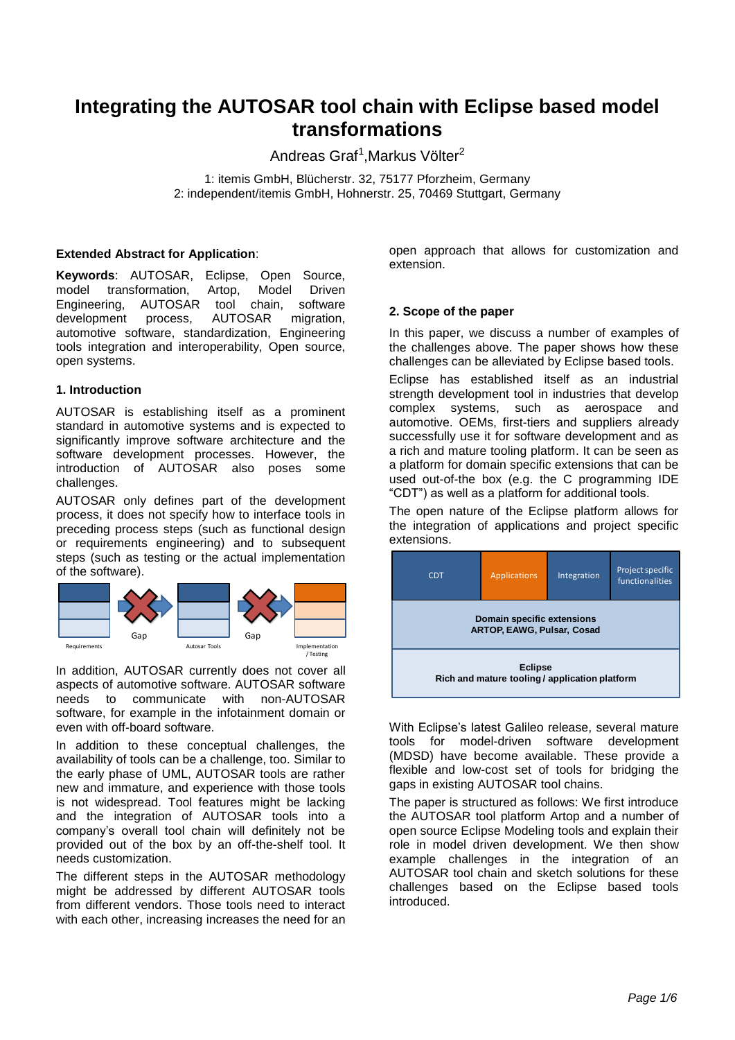# **Integrating the AUTOSAR tool chain with Eclipse based model transformations**

Andreas Graf<sup>1</sup>, Markus Völter<sup>2</sup>

1: itemis GmbH, Blücherstr. 32, 75177 Pforzheim, Germany 2: independent/itemis GmbH, Hohnerstr. 25, 70469 Stuttgart, Germany

#### **Extended Abstract for Application**:

**Keywords**: AUTOSAR, Eclipse, Open Source, model transformation, Artop, Model Driven Engineering, AUTOSAR tool chain, software development process, AUTOSAR migration, automotive software, standardization, Engineering tools integration and interoperability, Open source, open systems.

#### **1. Introduction**

AUTOSAR is establishing itself as a prominent standard in automotive systems and is expected to significantly improve software architecture and the software development processes. However, the introduction of AUTOSAR also poses some challenges.

AUTOSAR only defines part of the development process, it does not specify how to interface tools in preceding process steps (such as functional design or requirements engineering) and to subsequent steps (such as testing or the actual implementation of the software).



In addition, AUTOSAR currently does not cover all aspects of automotive software. AUTOSAR software needs to communicate with non-AUTOSAR software, for example in the infotainment domain or even with off-board software.

In addition to these conceptual challenges, the availability of tools can be a challenge, too. Similar to the early phase of UML, AUTOSAR tools are rather new and immature, and experience with those tools is not widespread. Tool features might be lacking and the integration of AUTOSAR tools into a company's overall tool chain will definitely not be provided out of the box by an off-the-shelf tool. It needs customization.

The different steps in the AUTOSAR methodology might be addressed by different AUTOSAR tools from different vendors. Those tools need to interact with each other, increasing increases the need for an open approach that allows for customization and extension.

#### **2. Scope of the paper**

In this paper, we discuss a number of examples of the challenges above. The paper shows how these challenges can be alleviated by Eclipse based tools.

Eclipse has established itself as an industrial strength development tool in industries that develop complex systems, such as aerospace and automotive. OEMs, first-tiers and suppliers already successfully use it for software development and as a rich and mature tooling platform. It can be seen as a platform for domain specific extensions that can be used out-of-the box (e.g. the C programming IDE "CDT") as well as a platform for additional tools.

The open nature of the Eclipse platform allows for the integration of applications and project specific extensions.



With Eclipse's latest Galileo release, several mature tools for model-driven software development (MDSD) have become available. These provide a flexible and low-cost set of tools for bridging the gaps in existing AUTOSAR tool chains.

The paper is structured as follows: We first introduce the AUTOSAR tool platform Artop and a number of open source Eclipse Modeling tools and explain their role in model driven development. We then show example challenges in the integration of an AUTOSAR tool chain and sketch solutions for these challenges based on the Eclipse based tools introduced.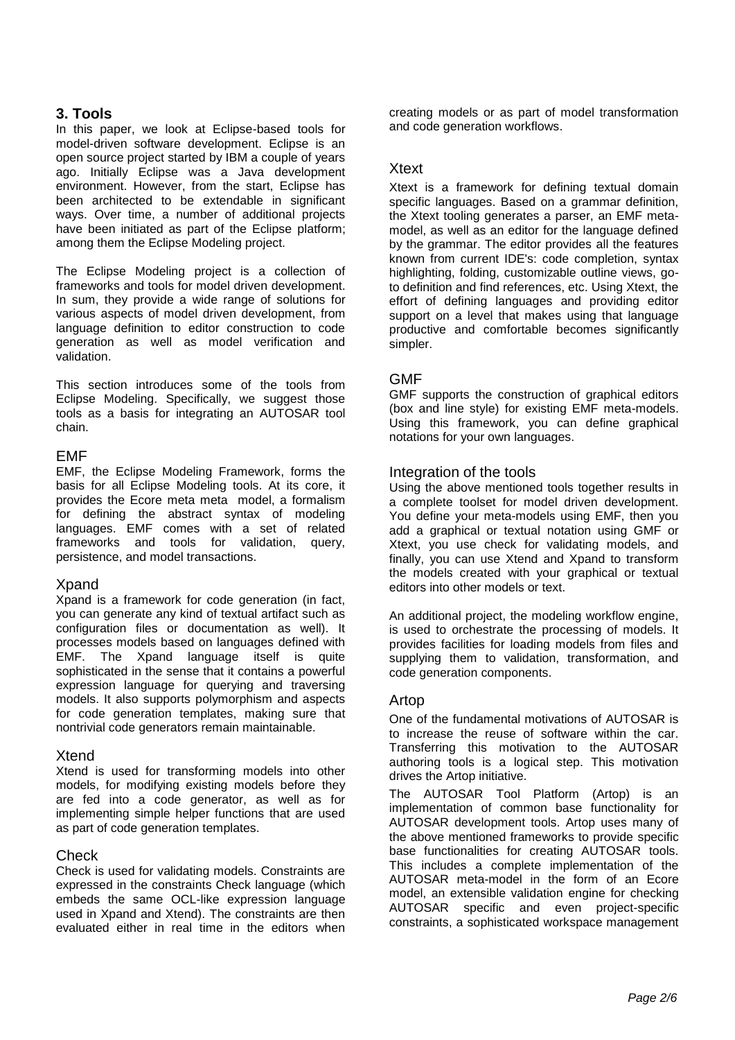# **3. Tools**

In this paper, we look at Eclipse-based tools for model-driven software development. Eclipse is an open source project started by IBM a couple of years ago. Initially Eclipse was a Java development environment. However, from the start, Eclipse has been architected to be extendable in significant ways. Over time, a number of additional projects have been initiated as part of the Eclipse platform; among them the Eclipse Modeling project.

The Eclipse Modeling project is a collection of frameworks and tools for model driven development. In sum, they provide a wide range of solutions for various aspects of model driven development, from language definition to editor construction to code generation as well as model verification and validation.

This section introduces some of the tools from Eclipse Modeling. Specifically, we suggest those tools as a basis for integrating an AUTOSAR tool chain.

# EMF

EMF, the Eclipse Modeling Framework, forms the basis for all Eclipse Modeling tools. At its core, it provides the Ecore meta meta model, a formalism for defining the abstract syntax of modeling languages. EMF comes with a set of related frameworks and tools for validation, query, persistence, and model transactions.

# Xpand

Xpand is a framework for code generation (in fact, you can generate any kind of textual artifact such as configuration files or documentation as well). It processes models based on languages defined with EMF. The Xpand language itself is quite sophisticated in the sense that it contains a powerful expression language for querying and traversing models. It also supports polymorphism and aspects for code generation templates, making sure that nontrivial code generators remain maintainable.

#### Xtend

Xtend is used for transforming models into other models, for modifying existing models before they are fed into a code generator, as well as for implementing simple helper functions that are used as part of code generation templates.

# Check

Check is used for validating models. Constraints are expressed in the constraints Check language (which embeds the same OCL-like expression language used in Xpand and Xtend). The constraints are then evaluated either in real time in the editors when

creating models or as part of model transformation and code generation workflows.

# **Xtext**

Xtext is a framework for defining textual domain specific languages. Based on a grammar definition, the Xtext tooling generates a parser, an EMF metamodel, as well as an editor for the language defined by the grammar. The editor provides all the features known from current IDE's: code completion, syntax highlighting, folding, customizable outline views, goto definition and find references, etc. Using Xtext, the effort of defining languages and providing editor support on a level that makes using that language productive and comfortable becomes significantly simpler.

# GMF

GMF supports the construction of graphical editors (box and line style) for existing EMF meta-models. Using this framework, you can define graphical notations for your own languages.

#### Integration of the tools

Using the above mentioned tools together results in a complete toolset for model driven development. You define your meta-models using EMF, then you add a graphical or textual notation using GMF or Xtext, you use check for validating models, and finally, you can use Xtend and Xpand to transform the models created with your graphical or textual editors into other models or text.

An additional project, the modeling workflow engine, is used to orchestrate the processing of models. It provides facilities for loading models from files and supplying them to validation, transformation, and code generation components.

#### Artop

One of the fundamental motivations of AUTOSAR is to increase the reuse of software within the car. Transferring this motivation to the AUTOSAR authoring tools is a logical step. This motivation drives the Artop initiative.

The AUTOSAR Tool Platform (Artop) is an implementation of common base functionality for AUTOSAR development tools. Artop uses many of the above mentioned frameworks to provide specific base functionalities for creating AUTOSAR tools. This includes a complete implementation of the AUTOSAR meta-model in the form of an Ecore model, an extensible validation engine for checking AUTOSAR specific and even project-specific constraints, a sophisticated workspace management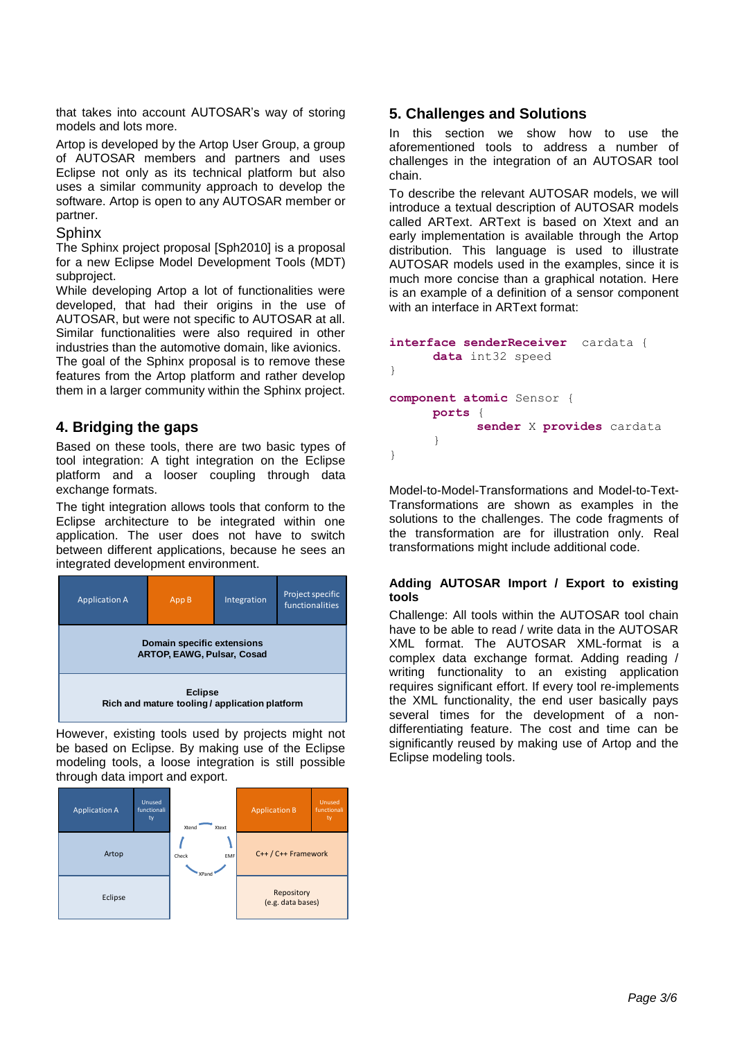that takes into account AUTOSAR's way of storing models and lots more.

Artop is developed by the Artop User Group, a group of AUTOSAR members and partners and uses Eclipse not only as its technical platform but also uses a similar community approach to develop the software. Artop is open to any AUTOSAR member or partner.

### Sphinx

The Sphinx project proposal [Sph2010] is a proposal for a new Eclipse Model Development Tools (MDT) subproject.

While developing Artop a lot of functionalities were developed, that had their origins in the use of AUTOSAR, but were not specific to AUTOSAR at all. Similar functionalities were also required in other industries than the automotive domain, like avionics.

The goal of the Sphinx proposal is to remove these features from the Artop platform and rather develop them in a larger community within the Sphinx project.

# **4. Bridging the gaps**

Based on these tools, there are two basic types of tool integration: A tight integration on the Eclipse platform and a looser coupling through data exchange formats.

The tight integration allows tools that conform to the Eclipse architecture to be integrated within one application. The user does not have to switch between different applications, because he sees an integrated development environment.



However, existing tools used by projects might not be based on Eclipse. By making use of the Eclipse modeling tools, a loose integration is still possible through data import and export.



# **5. Challenges and Solutions**

In this section we show how to use the aforementioned tools to address a number of challenges in the integration of an AUTOSAR tool chain.

To describe the relevant AUTOSAR models, we will introduce a textual description of AUTOSAR models called ARText. ARText is based on Xtext and an early implementation is available through the Artop distribution. This language is used to illustrate AUTOSAR models used in the examples, since it is much more concise than a graphical notation. Here is an example of a definition of a sensor component with an interface in ARText format:

```
interface senderReceiver cardata {
      data int32 speed
}
component atomic Sensor {
     ports {
            sender X provides cardata
      }
}
```
Model-to-Model-Transformations and Model-to-Text-Transformations are shown as examples in the solutions to the challenges. The code fragments of the transformation are for illustration only. Real transformations might include additional code.

#### **Adding AUTOSAR Import / Export to existing tools**

Challenge: All tools within the AUTOSAR tool chain have to be able to read / write data in the AUTOSAR XML format. The AUTOSAR XML-format is a complex data exchange format. Adding reading / writing functionality to an existing application requires significant effort. If every tool re-implements the XML functionality, the end user basically pays several times for the development of a nondifferentiating feature. The cost and time can be significantly reused by making use of Artop and the Eclipse modeling tools.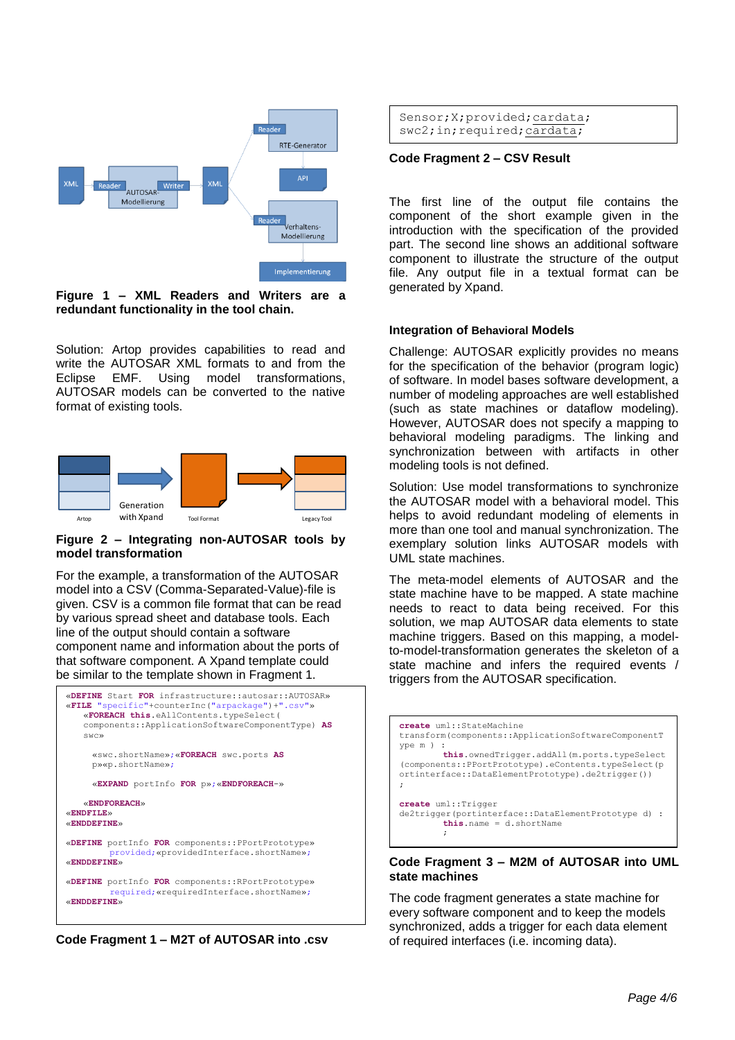

**Figure 1 – XML Readers and Writers are a redundant functionality in the tool chain.**

Solution: Artop provides capabilities to read and write the AUTOSAR XML formats to and from the Eclipse EMF. Using model transformations, AUTOSAR models can be converted to the native format of existing tools.



#### **Figure 2 – Integrating non-AUTOSAR tools by model transformation**

For the example, a transformation of the AUTOSAR model into a CSV (Comma-Separated-Value)-file is given. CSV is a common file format that can be read by various spread sheet and database tools. Each line of the output should contain a software component name and information about the ports of that software component. A Xpand template could be similar to the template shown in Fragment 1.



**Code Fragment 1 – M2T of AUTOSAR into .csv**

Sensor;X;provided;cardata; swc2;in;required;cardata;

#### **Code Fragment 2 – CSV Result**

The first line of the output file contains the component of the short example given in the introduction with the specification of the provided part. The second line shows an additional software component to illustrate the structure of the output file. Any output file in a textual format can be generated by Xpand.

#### **Integration of Behavioral Models**

Challenge: AUTOSAR explicitly provides no means for the specification of the behavior (program logic) of software. In model bases software development, a number of modeling approaches are well established (such as state machines or dataflow modeling). However, AUTOSAR does not specify a mapping to behavioral modeling paradigms. The linking and synchronization between with artifacts in other modeling tools is not defined.

Solution: Use model transformations to synchronize the AUTOSAR model with a behavioral model. This helps to avoid redundant modeling of elements in more than one tool and manual synchronization. The exemplary solution links AUTOSAR models with UML state machines.

The meta-model elements of AUTOSAR and the state machine have to be mapped. A state machine needs to react to data being received. For this solution, we map AUTOSAR data elements to state machine triggers. Based on this mapping, a modelto-model-transformation generates the skeleton of a state machine and infers the required events / triggers from the AUTOSAR specification.

| create uml::StateMachine<br>transform(components::ApplicationSoftwareComponentT                                                                                                |
|--------------------------------------------------------------------------------------------------------------------------------------------------------------------------------|
| $vpe$ m $)$ :<br>this.ownedTrigger.addAll(m.ports.typeSelect<br>(components:: PPortPrototype).eContents.typeSelect(p<br>ortinterface::DataElementPrototype).de2triqqer())<br>÷ |
| create uml:: Trigger<br>de2trigger(portinterface::DataElementPrototype d) :<br>$this.name = d.shape$                                                                           |
|                                                                                                                                                                                |

#### **Code Fragment 3 – M2M of AUTOSAR into UML state machines**

The code fragment generates a state machine for every software component and to keep the models synchronized, adds a trigger for each data element of required interfaces (i.e. incoming data).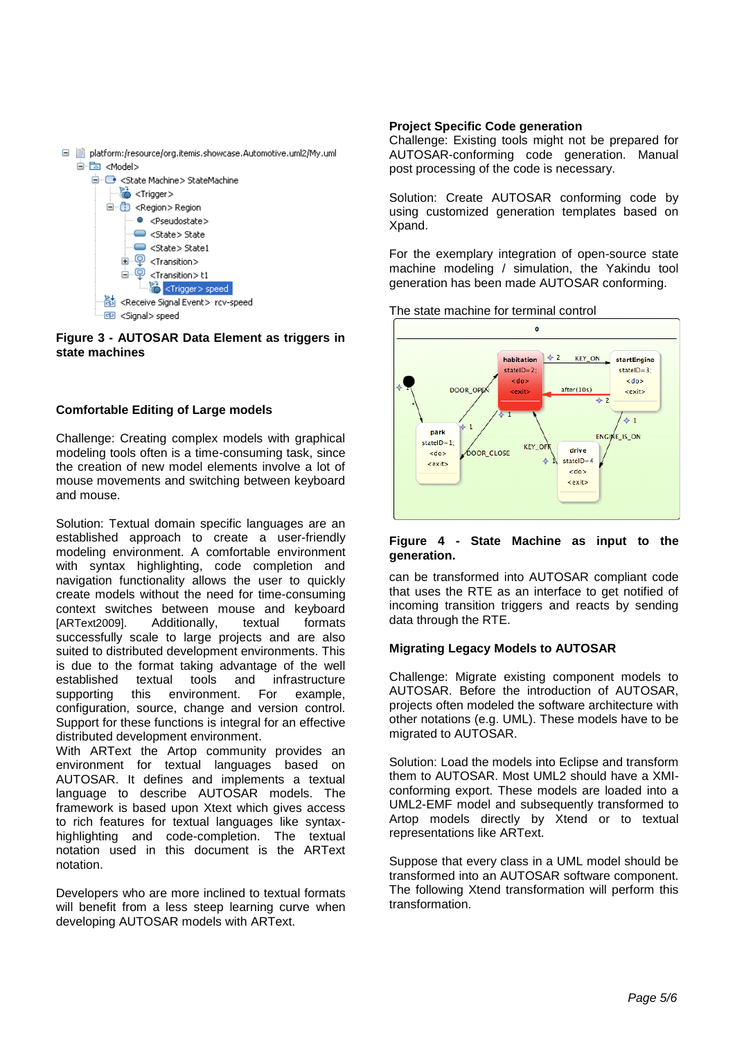

**Figure 3 - AUTOSAR Data Element as triggers in state machines**

# **Comfortable Editing of Large models**

Challenge: Creating complex models with graphical modeling tools often is a time-consuming task, since the creation of new model elements involve a lot of mouse movements and switching between keyboard and mouse.

Solution: Textual domain specific languages are an established approach to create a user-friendly modeling environment. A comfortable environment with syntax highlighting, code completion and navigation functionality allows the user to quickly create models without the need for time-consuming context switches between mouse and keyboard [ARText2009]. Additionally, textual formats successfully scale to large projects and are also suited to distributed development environments. This is due to the format taking advantage of the well established textual tools and infrastructure supporting this environment. For example, configuration, source, change and version control. Support for these functions is integral for an effective distributed development environment.

With ARText the Artop community provides an environment for textual languages based on AUTOSAR. It defines and implements a textual language to describe AUTOSAR models. The framework is based upon Xtext which gives access to rich features for textual languages like syntaxhighlighting and code-completion. The textual notation used in this document is the ARText notation.

Developers who are more inclined to textual formats will benefit from a less steep learning curve when developing AUTOSAR models with ARText.

#### **Project Specific Code generation**

Challenge: Existing tools might not be prepared for AUTOSAR-conforming code generation. Manual post processing of the code is necessary.

Solution: Create AUTOSAR conforming code by using customized generation templates based on Xpand.

For the exemplary integration of open-source state machine modeling / simulation, the Yakindu tool generation has been made AUTOSAR conforming.

The state machine for terminal control



#### **Figure 4 - State Machine as input to the generation.**

can be transformed into AUTOSAR compliant code that uses the RTE as an interface to get notified of incoming transition triggers and reacts by sending data through the RTE.

#### **Migrating Legacy Models to AUTOSAR**

Challenge: Migrate existing component models to AUTOSAR. Before the introduction of AUTOSAR, projects often modeled the software architecture with other notations (e.g. UML). These models have to be migrated to AUTOSAR.

Solution: Load the models into Eclipse and transform them to AUTOSAR. Most UML2 should have a XMIconforming export. These models are loaded into a UML2-EMF model and subsequently transformed to Artop models directly by Xtend or to textual representations like ARText.

Suppose that every class in a UML model should be transformed into an AUTOSAR software component. The following Xtend transformation will perform this transformation.